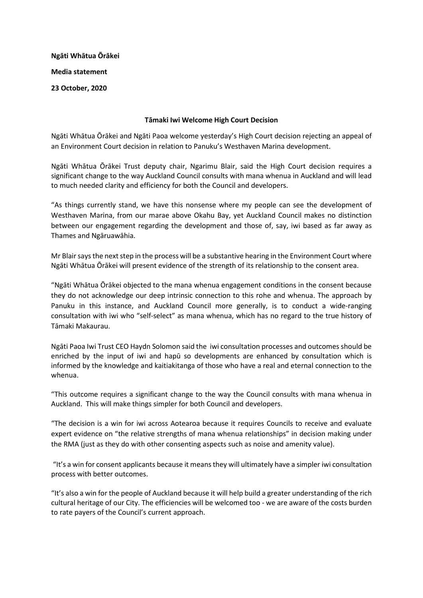**Ngāti Whātua Ōrākei Media statement 23 October, 2020**

## **Tāmaki Iwi Welcome High Court Decision**

Ngāti Whātua Ōrākei and Ngāti Paoa welcome yesterday's High Court decision rejecting an appeal of an Environment Court decision in relation to Panuku's Westhaven Marina development.

Ngāti Whātua Ōrākei Trust deputy chair, Ngarimu Blair, said the High Court decision requires a significant change to the way Auckland Council consults with mana whenua in Auckland and will lead to much needed clarity and efficiency for both the Council and developers.

"As things currently stand, we have this nonsense where my people can see the development of Westhaven Marina, from our marae above Okahu Bay, yet Auckland Council makes no distinction between our engagement regarding the development and those of, say, iwi based as far away as Thames and Ngāruawāhia.

Mr Blair saysthe next step in the process will be a substantive hearing in the Environment Court where Ngāti Whātua Ōrākei will present evidence of the strength of its relationship to the consent area.

"Ngāti Whātua Ōrākei objected to the mana whenua engagement conditions in the consent because they do not acknowledge our deep intrinsic connection to this rohe and whenua. The approach by Panuku in this instance, and Auckland Council more generally, is to conduct a wide-ranging consultation with iwi who "self-select" as mana whenua, which has no regard to the true history of Tāmaki Makaurau.

Ngāti Paoa Iwi Trust CEO Haydn Solomon said the iwi consultation processes and outcomes should be enriched by the input of iwi and hapū so developments are enhanced by consultation which is informed by the knowledge and kaitiakitanga of those who have a real and eternal connection to the whenua.

"This outcome requires a significant change to the way the Council consults with mana whenua in Auckland. This will make things simpler for both Council and developers.

"The decision is a win for iwi across Aotearoa because it requires Councils to receive and evaluate expert evidence on "the relative strengths of mana whenua relationships" in decision making under the RMA (just as they do with other consenting aspects such as noise and amenity value).

"It's a win for consent applicants because it means they will ultimately have a simpler iwi consultation process with better outcomes.

"It's also a win for the people of Auckland because it will help build a greater understanding of the rich cultural heritage of our City. The efficiencies will be welcomed too - we are aware of the costs burden to rate payers of the Council's current approach.